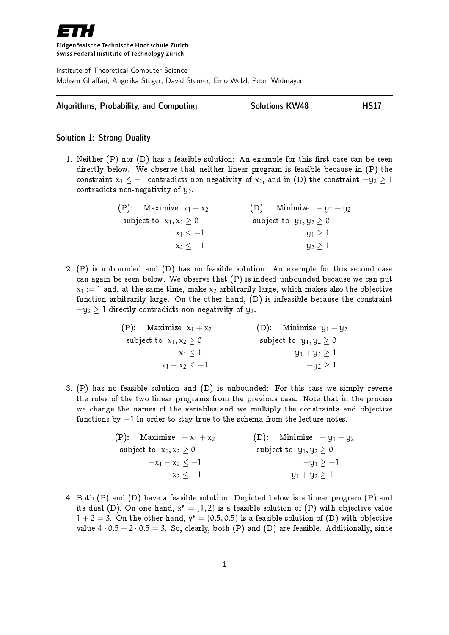

Eidgenössische Technische Hochschule Zürich Swiss Federal Institute of Technology Zurich

Institute of Theoretical Computer Science Mohsen Ghaffari, Angelika Steger, David Steurer, Emo Welzl, Peter Widmayer

| Algorithms, Probability, and Computing | <b>Solutions KW48</b> | <b>HS17</b> |
|----------------------------------------|-----------------------|-------------|
|----------------------------------------|-----------------------|-------------|

# Solution 1: Strong Duality

1. Neither (P) nor (D) has a feasible solution: An example for this first case can be seen directly below. We observe that neither linear program is feasible because in (P) the constraint  $x_1 < -1$  contradicts non-negativity of  $x_1$ , and in (D) the constraint  $-y_2 > 1$ contradicts non-negativity of  $y_2$ .

| (P): Maximize $x_1 + x_2$ | (D): Minimize $-\mu_1-\mu_2$ |
|---------------------------|------------------------------|
| subject to $x_1, x_2 > 0$ | subject to $y_1, y_2 \ge 0$  |
| $x_1 < -1$                | $y_1 > 1$                    |
| $-x_2 \leq -1$            | $-y_2 > 1$                   |

2. (P) is unbounded and (D) has no feasible solution: An example for this second case can again be seen below. We observe that (P) is indeed unbounded because we can put  $x_1 := 1$  and, at the same time, make  $x_2$  arbitrarily large, which makes also the objective function arbitrarily large. On the other hand, (D) is infeasible because the constraint  $-y_2 \geq 1$  directly contradicts non-negativity of y<sub>2</sub>.

| (P): Maximize $x_1 + x_2$ | (D): Minimize $y_1 - y_2$ |
|---------------------------|---------------------------|
| subject to $x_1, x_2 > 0$ | subject to $y_1, y_2 > 0$ |
| $x_1 < 1$                 | $y_1 + y_2 \ge 1$         |
| $x_1 - x_2 < -1$          | $-y_2 > 1$                |

3. (P) has no feasible solution and (D) is unbounded: For this case we simply reverse the roles of the two linear programs from the previous case. Note that in the process we change the names of the variables and we multiply the constraints and objective functions by  $-1$  in order to stay true to the schema from the lecture notes.

| (P): Maximize $-x_1 + x_2$ | (D): Minimize $-\mu_1-\mu_2$ |
|----------------------------|------------------------------|
| subject to $x_1, x_2 > 0$  | subject to $y_1, y_2 > 0$    |
| $-x_1 - x_2 \le -1$        | $-y_1 > -1$                  |
| $x_2 < -1$                 | $-y_1 + y_2 \geq 1$          |

4. Both (P) and (D) have a feasible solution: Depicted below is a linear program (P) and its dual (D). On one hand,  $x^* = (1,2)$  is a feasible solution of (P) with objective value  $1 + 2 = 3$ . On the other hand,  $y^* = (0.5, 0.5)$  is a feasible solution of (D) with objective value  $4 \cdot 0.5 + 2 \cdot 0.5 = 3$ . So, clearly, both (P) and (D) are feasible. Additionally, since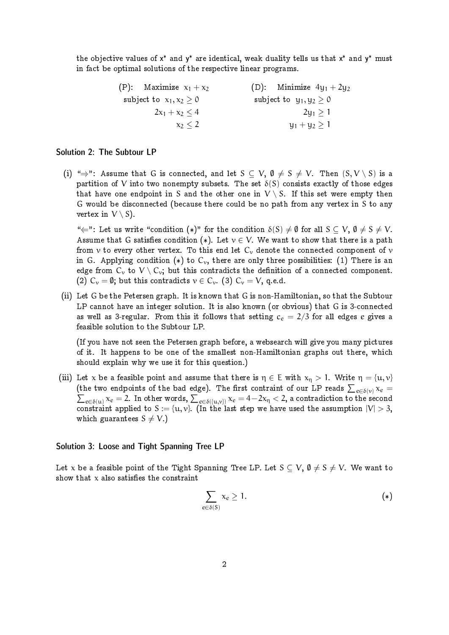the objective values of  $x^*$  and  $y^*$  are identical, weak duality tells us that  $x^*$  and  $y^*$  must in fact be optimal solutions of the respective linear programs.

> (P): Maximize  $x_1 + x_2$  (D): Minimize  $4y_1 + 2y_2$ subject to  $x_1, x_2 \ge 0$  subject to  $y_1, y_2 \ge 0$  $2x_1 + x_2 < 4$  2y<sub>1</sub> > 1  $x_2 < 2$   $y_1 + y_2 > 1$

# Solution 2: The Subtour LP

(i) " $\Rightarrow$ ": Assume that G is connected, and let S  $\subseteq$  V,  $\emptyset \neq S \neq V$ . Then  $(S, V \setminus S)$  is a partition of V into two nonempty subsets. The set  $\delta(S)$  consists exactly of those edges that have one endpoint in S and the other one in  $V \setminus S$ . If this set were empty then G would be disconnected (because there could be no path from any vertex in S to any vertex in  $V \setminus S$ ).

" $\Leftarrow$ ": Let us write "condition  $(*)$ " for the condition  $\delta(S) \neq \emptyset$  for all  $S \subset V, \emptyset \neq S \neq V$ . Assume that G satisfies condition (\*). Let  $v \in V$ . We want to show that there is a path from  $v$  to every other vertex. To this end let  $C_v$  denote the connected component of  $v$ in G. Applying condition (\*) to  $C_v$ , there are only three possibilities: (1) There is an edge from  $C_v$  to  $V \setminus C_v$ ; but this contradicts the definition of a connected component. (2)  $C_v = \emptyset$ ; but this contradicts  $v \in C_v$ . (3)  $C_v = V$ , q.e.d.

(ii) Let G be the Petersen graph. It is known that G is non-Hamiltonian, so that the Subtour LP cannot have an integer solution. It is also known (or obvious) that G is 3-connected as well as 3-regular. From this it follows that setting  $c_e = 2/3$  for all edges e gives a feasible solution to the Subtour LP.

(If you have not seen the Petersen graph before, a websearch will give you many pictures of it. It happens to be one of the smallest non-Hamiltonian graphs out there, which should explain why we use it for this question.)

(iii) Let x be a feasible point and assume that there is  $\eta \in E$  with  $x_\eta > 1$ . Write  $\eta = \{u, v\}$ (the two endpoints of the bad edge). The first contraint of our LP reads  $\sum_{e \in \delta(v)} x_e =$  $\sum_{e \in \delta(u)} x_e = 2$ . In other words,  $\sum_{e \in \delta(\{u,v\})} x_e = 4 - 2x_\eta < 2$ , a contradiction to the second constraint applied to  $S := \{u, v\}$ . (In the last step we have used the assumption  $|V| > 3$ , which guarantees  $S \neq V$ .)

#### Solution 3: Loose and Tight Spanning Tree LP

Let x be a feasible point of the Tight Spanning Tree LP. Let  $S \subset V$ ,  $\emptyset \neq S \neq V$ . We want to show that  $x$  also satisfies the constraint

$$
\sum_{e \in \delta(S)} x_e \ge 1. \tag{*}
$$